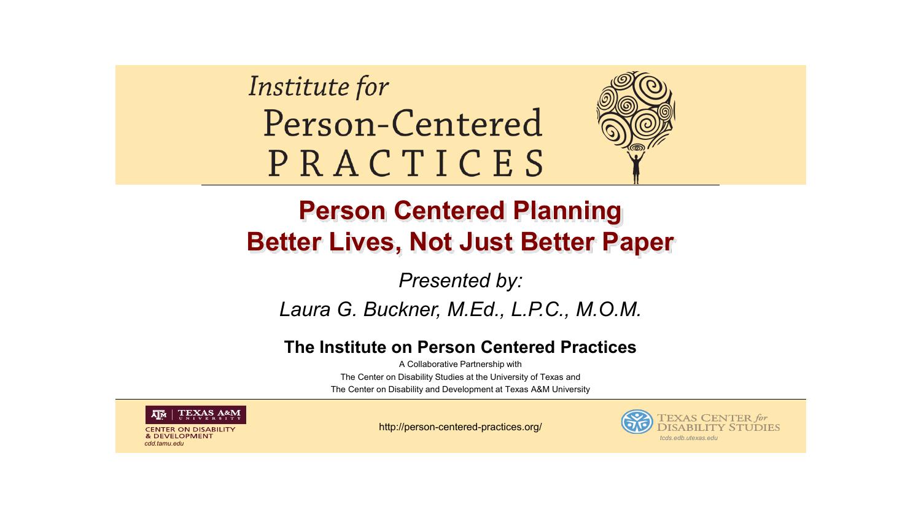Institute for Person-Centered PRACTICES



### **Person Centered Planning Better Lives, Not Just Better Paper**

#### *Presented by:*

#### *Laura G. Buckner, M.Ed., L.P.C., M.O.M.*

#### **The Institute on Person Centered Practices**

A Collaborative Partnership with The Center on Disability Studies at the University of Texas and The Center on Disability and Development at Texas A&M University



**CENTER ON DISABILITY & DEVELOPMENT** *cdd.tamu.edu*

http://person-centered-practices.org/



**DISABILITY STUDIES** *tcds.edb.utexas.edu*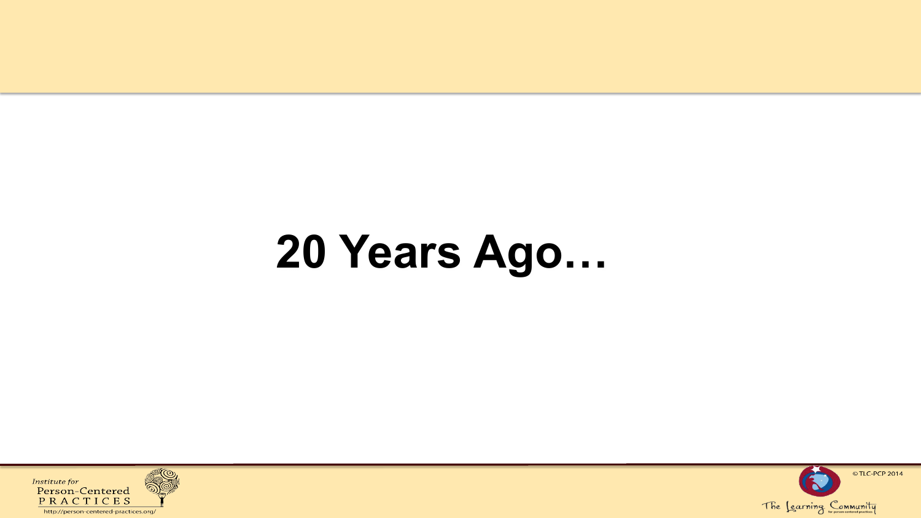# **20 Years Ago…**



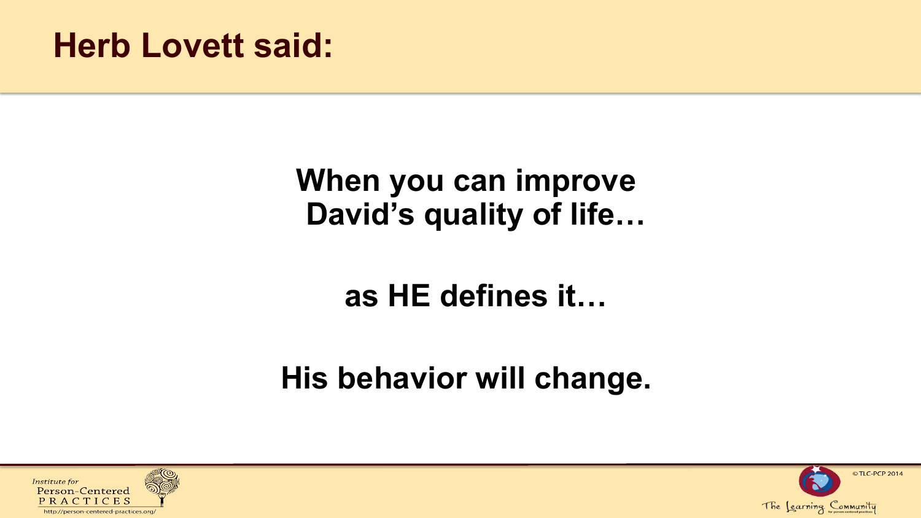## **Herb Lovett said:**

## **When you can improve David's quality of life…**

## **as HE defines it…**

## **His behavior will change.**



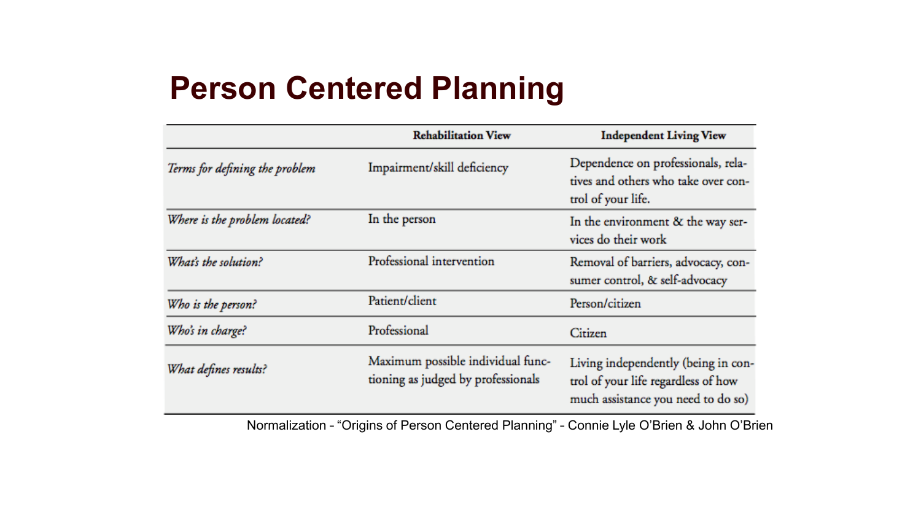## **Person Centered Planning**

|                                | <b>Rehabilitation View</b>                                              | <b>Independent Living View</b>                                                                                   |
|--------------------------------|-------------------------------------------------------------------------|------------------------------------------------------------------------------------------------------------------|
| Terms for defining the problem | Impairment/skill deficiency                                             | Dependence on professionals, rela-<br>tives and others who take over con-<br>trol of your life.                  |
| Where is the problem located?  | In the person                                                           | In the environment & the way ser-<br>vices do their work                                                         |
| What's the solution?           | Professional intervention                                               | Removal of barriers, advocacy, con-<br>sumer control, & self-advocacy                                            |
| Who is the person?             | Patient/client                                                          | Person/citizen                                                                                                   |
| Who's in charge?               | Professional                                                            | Citizen                                                                                                          |
| What defines results?          | Maximum possible individual func-<br>tioning as judged by professionals | Living independently (being in con-<br>trol of your life regardless of how<br>much assistance you need to do so) |

Normalization – "Origins of Person Centered Planning" – Connie Lyle O'Brien & John O'Brien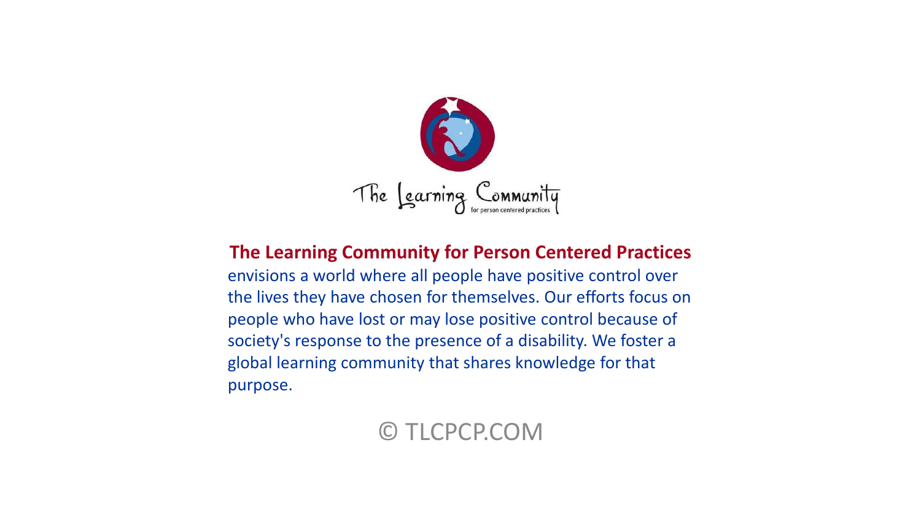

#### **The Learning Community for Person Centered Practices**

envisions a world where all people have positive control over the lives they have chosen for themselves. Our efforts focus on people who have lost or may lose positive control because of society's response to the presence of a disability. We foster a global learning community that shares knowledge for that purpose.

### © TLCPCP.COM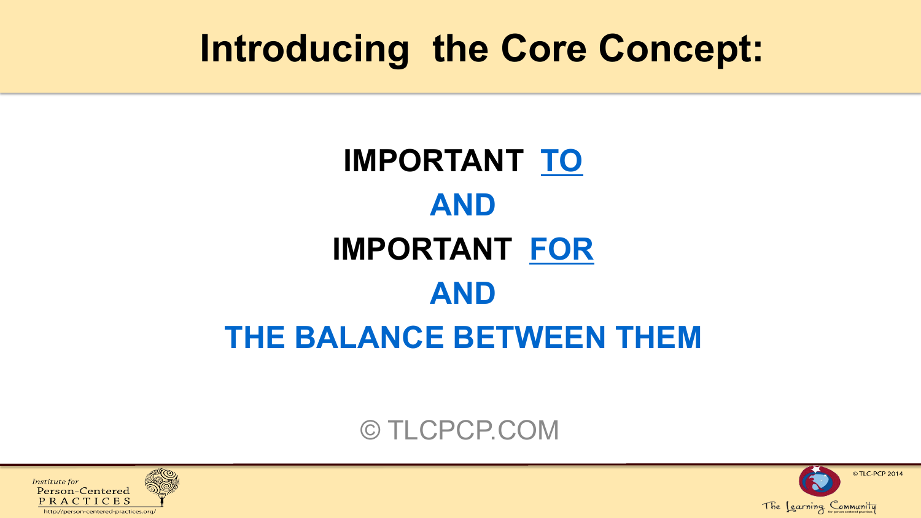## **Introducing the Core Concept:**

## **IMPORTANT TO AND IMPORTANT FOR AND THE BALANCE BETWEEN THEM**

### © TLCPCP.COM



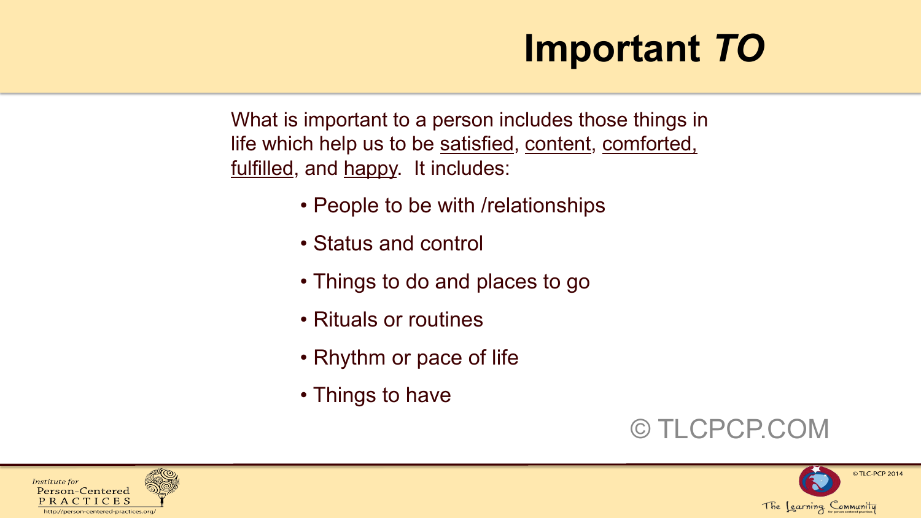## **Important** *TO*

What is important to a person includes those things in life which help us to be satisfied, content, comforted, fulfilled, and happy. It includes:

- People to be with /relationships
- Status and control
- Things to do and places to go
- Rituals or routines
- Rhythm or pace of life
- Things to have





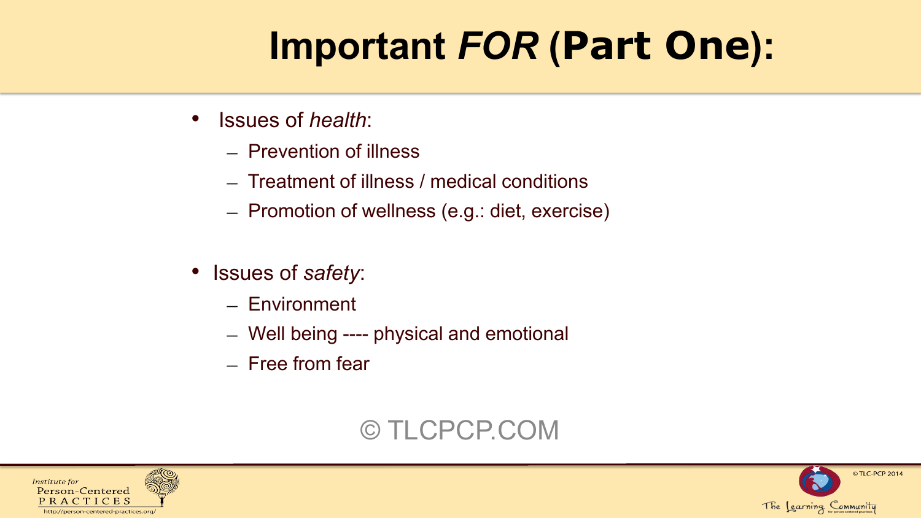# **Important** *FOR* **(Part One):**

- Issues of *health*:
	- ― Prevention of illness
	- ― Treatment of illness / medical conditions
	- ― Promotion of wellness (e.g.: diet, exercise)
- Issues of *safety*:
	- ― Environment
	- ― Well being ---- physical and emotional
	- ― Free from fear

### © TLCPCP.COM



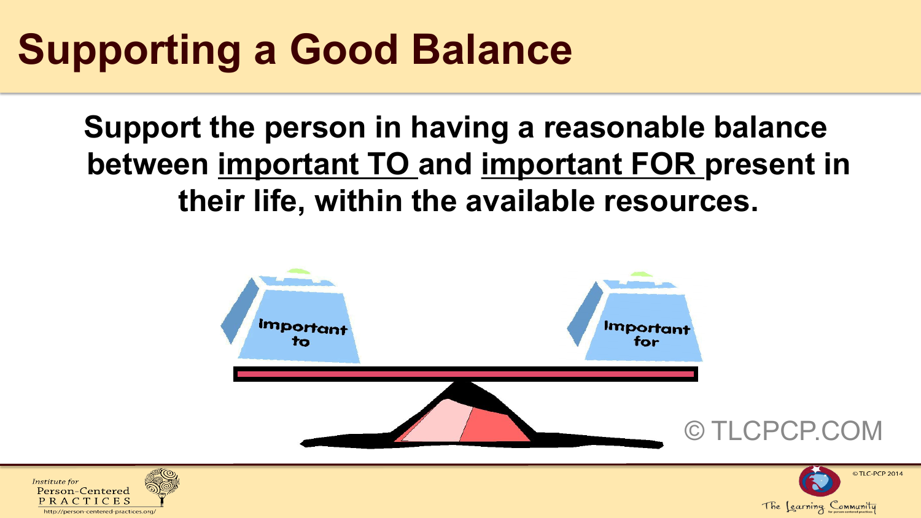# **Supporting a Good Balance**

## **Support the person in having a reasonable balance between important TO and important FOR present in their life, within the available resources.**



The Learning Community